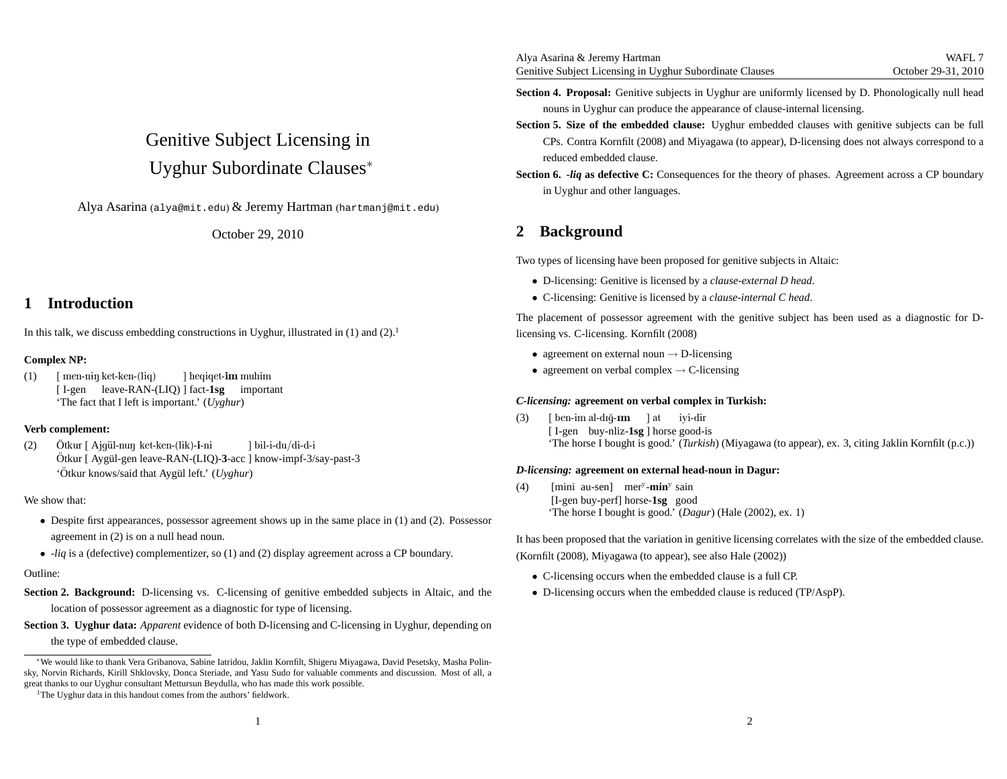# Genitive Subject Licensing inUyghur Subordinate Clauses<sup>∗</sup>

 $\rm{A}$ lya  $\rm{Asarina}$  (alya@mit.edu)  $\rm{\&}$  Jeremy  $\rm{Hartman}$  (hartmanj@mit.edu)

October 29, 2010

### **1 Introduction**

In this talk, we discuss embedding constructions in Uyghur, illustrated in  $(1)$  and  $(2)$ .<sup>1</sup>

#### **Complex NP:**

(1)) [ men-nɨŋ ket-ken-(liq) [ I-gen leave-RAN-(LIQ) ] fact-**1sg** important 'The fact that I left is important.' (*Uyghur*)] heqiqet-**im** muhim

#### **Verb complement:**

(2)) Ötkur [ Ajgül-nuŋ ket-ken-(lik)-**i**-ni Ötkur [ Aygül-gen leave-RAN-(LIQ)-3-acc ] know-impf-3/say-past-3 'Ötkur knows/said that Aygül left.' (Uyghur) ]bil-i-du/di-d-i

#### We show that:

- Despite first appearances, possessor agreemen<sup>t</sup> shows up in the same <sup>p</sup>lace in (1) and (2). Possessor agreemen<sup>t</sup> in (2) is on <sup>a</sup> null head noun.
- -*liq* is <sup>a</sup> (defective) complementizer, so (1) and (2) display agreemen<sup>t</sup> across <sup>a</sup> CP boundary.

#### Outline:

- **Section 2. Background:** D-licensing vs. C-licensing of genitive embedded subjects in Altaic, and thelocation of possessor agreemen<sup>t</sup> as <sup>a</sup> diagnostic for type of licensing.
- **Section 3. Uyghur data:** *Apparent* evidence of both D-licensing and C-licensing in Uyghur, depending onthe type of embedded clause.
- **Section 4. Proposal:** Genitive subjects in Uyghur are uniformly licensed by D. Phonologically null headnouns in Uyghur can produce the appearance of clause-internal licensing.
- **Section 5. Size of the embedded clause:** Uyghur embedded clauses with genitive subjects can be full CPs. Contra Kornfilt (2008) and Miyagawa (to appear), D-licensing does not always correspond to <sup>a</sup>reduced embedded clause.
- **Section 6. -***liq* **as defective C:** Consequences for the theory of <sup>p</sup>hases. Agreement across <sup>a</sup> CP boundary in Uyghur and other languages.

## **2 Background**

Two types of licensing have been proposed for genitive subjects in Altaic:

- D-licensing: Genitive is licensed by <sup>a</sup> *clause-external <sup>D</sup> head*.
- C-licensing: Genitive is licensed by <sup>a</sup> *clause-internal <sup>C</sup> head*.

The placement of possessor agreemen<sup>t</sup> with the genitive subject has been used as <sup>a</sup> diagnostic for Dlicensing vs. C-licensing. Kornfilt (2008)

- agreement on external noun  $\rightarrow$  D-licensing
- agreement on verbal complex  $\rightarrow$  C-licensing

### *C-licensing:* **agreement on verbal complex in Turkish:**

(3)) [ben-imal-dığ**-ım** ] at iyi-dir [ I-gen buy-nliz-**1sg**]horsegood-is'The horse I bought is good.' (*Turkish*) (Miyagawa (to appear), ex. 3, citing Jaklin Kornfilt (p.c.))

### *D-licensing:* **agreement on external head-noun in Dagur:**

(4) [mini au-sen] mer<sup>y</sup>-min<sup>y</sup> sain [I-gen buy-perf] horse-**1sg** good 'The horse I bought is good.' (*Dagur*) (Hale (2002), ex. 1)

It has been proposed that the variation in genitive licensing correlates with the size of the embedded clause.

(Kornfilt (2008), Miyagawa (to appear), see also Hale (2002))

- C-licensing occurs when the embedded clause is <sup>a</sup> full CP.
- D-licensing occurs when the embedded clause is reduced (TP/AspP).

<sup>∗</sup>We would like to thank Vera Gribanova, Sabine Iatridou, Jaklin Kornfilt, Shigeru Miyagawa, David Pesetsky, Masha Polinsky, Norvin Richards, Kirill Shklovsky, Donca Steriade, and Yasu Sudo for valuable comments and discussion. Most of all, <sup>a</sup>grea<sup>t</sup> thanks to our Uyghur consultant Mettursun Beydulla, who has made this work possible.

<sup>&</sup>lt;sup>1</sup>The Uyghur data in this handout comes from the authors' fieldwork.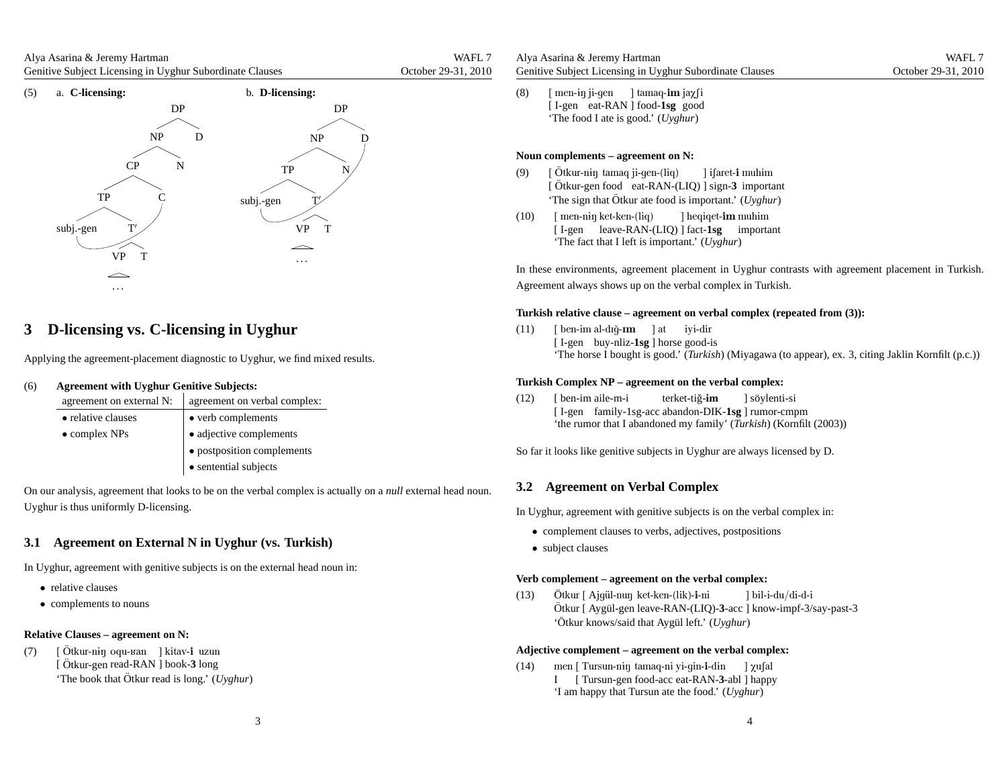Alya Asarina & Jeremy Hartman Genitive Subject Licensing in Uyghur Subordinate ClausesWAFL<sub>7</sub> October 29-31, 2010



### **3 D-licensing vs. C-licensing in Uyghur**

Applying the agreement-placement diagnostic to Uyghur, we find mixed results.

#### (6)**Agreement with Uyghur Genitive Subjects:**

| agreement on external N: | agreement on verbal complex:    |
|--------------------------|---------------------------------|
| • relative clauses       | • verb complements              |
| $\bullet$ complex NPs    | $\bullet$ adjective complements |
|                          | · postposition complements      |
|                          | • sentential subjects           |

On our analysis, agreemen<sup>t</sup> that looks to be on the verbal complex is actually on <sup>a</sup> *null* external head noun. Uyghur is thus uniformly D-licensing.

### **3.1 Agreement on External N in Uyghur (vs. Turkish)**

In Uyghur, agreemen<sup>t</sup> with genitive subjects is on the external head noun in:

- relative clauses
- complements to nouns

#### **Relative Clauses – agreement on N:**

(7) [ [ Otkur-n<del>i</del>ŋ oqu-ʁan - ] kitav-**i** uzun<br>[ Ötkur-gen read-RAN ] book-**3** long<br>. 'The book that Ötkur read is long.' (Uyghur) Ö Otkur-n<del>i</del>ŋ

| Alya Asarina & Jeremy Hartman                            |  |
|----------------------------------------------------------|--|
| Genitive Subject Licensing in Uyghur Subordinate Clauses |  |

(8)) [men-ɨŋ ji-gen] tamaq-**im** jaχ∫i [ I-gen eat-RAN ] food-**1sg** good'The food I ate is good.' (*Uyghur*)

#### **Noun complements – agreement on N:**

- (9)) [Ötkur-n<del>i</del>ŋ [ Otkur-n<del>i</del>ŋ tamaq ji-gen-(liq) | ] ifaret**-i** muhim<br>[ Ötkur-gen food | eat-RAN-(LIQ) ] sign-<mark>3</mark> important 'The sign that Ötkur ate food is important.' (Uyghur)
- (10)) [ men-n<del>i</del>ŋ ket-ken-(liq) [ I-gen leave-RAN-(LIQ) ] fact-**1sg** important 'The fact that I left is important.' (*Uyghur*)] heqiqet-**im** muhim

In these environments, agreemen<sup>t</sup> placement in Uyghur contrasts with agreemen<sup>t</sup> placement in Turkish. Agreement always shows up on the verbal complex in Turkish.

#### Turkish relative clause – agreement on verbal complex (repeated from  $(3)$ ):

(11)) [ben-imal-dığ-**ım** ]at iyi-dir [I-gen buy-nliz-**1sg**] horse good-is 'The horse I bought is good.' (*Turkish*) (Miyagawa (to appear), ex. 3, citing Jaklin Kornfilt (p.c.))

#### **Turkish Complex NP – agreement on the verbal complex:**

 $(12)$  [ I-gen family-1sg-acc abandon-DIK-**1sg** ] rumor-cmpm 'the rumor that I abandoned my family' (*Turkish*) (Kornfilt (2003))ben-imaile-m-iterket-ti˘g-**im**] söylenti-si

So far it looks like genitive subjects in Uyghur are always licensed by D.

### **3.2 Agreement on Verbal Complex**

In Uyghur, agreemen<sup>t</sup> with genitive subjects is on the verbal complex in:

- complement clauses to verbs, adjectives, postpositions
- subject clauses

#### **Verb complement – agreement on the verbal complex:**

(13)) Ö Ötkur [ Aygül-gen leave-RAN-(LIQ)-3-acc ] know-impf-3/say-past-3 Otkur [ Ajgül-nuŋ ket-ken-(lik)-**i**-ni 'Ötkur knows/said that Aygül left.' (Uyghur) ]bil-i-du/di-d-i

#### **Adjective complement – agreement on the verbal complex:**

(14)) men [ Tursun-niŋ tamaq-ni yi-gin-**i**-din I [ Tursun-gen food-acc eat-RAN-**3**-abl ] happy 'I am happy that Tursun ate the food.' (*Uyghur*)] χu∫al

WAFL<sub>7</sub> October 29-31, 2010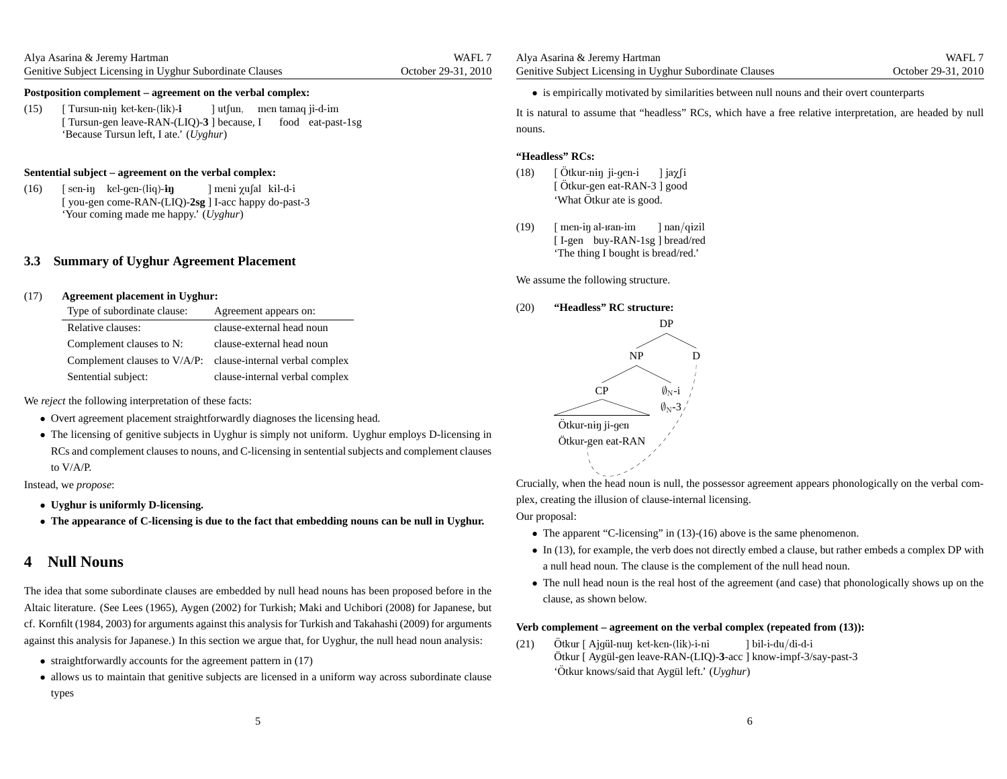(15) [ [Tursun-gen leave-RAN-(LIQ)-3<sup>3</sup> ] because, I food eat-past-1sg 'Because Tursun left, I ate.' (*Uyghur*)Tursun-nɨŋ ket-ken-(lik)-**i** ] utfun, men tamaq ji-d-im

#### **Sentential subject – agreement on the verbal complex:**

(16)) [sen-iŋ kel-gen-(liq)**-iŋ** [ you-gen come-RAN-(LIQ)-**2sg** ] I-acc happy do-past-3 'Your coming made me happy.' (*Uyghur*)] meni χu∫al kɨl-d-i

#### **3.3 Summary of Uyghur Agreement Placement**

#### (17)**Agreement <sup>p</sup>lacement in Uyghur:**

| Type of subordinate clause:  | Agreement appears on:          |
|------------------------------|--------------------------------|
| Relative clauses:            | clause-external head noun      |
| Complement clauses to N:     | clause-external head noun      |
| Complement clauses to V/A/P: | clause-internal verbal complex |
| Sentential subject:          | clause-internal verbal complex |

We *reject* the following interpretation of these facts:

- Overt agreemen<sup>t</sup> <sup>p</sup>lacement straightforwardly diagnoses the licensing head.
- The licensing of genitive subjects in Uyghur is simply not uniform. Uyghur employs D-licensing in RCs and complement clauses to nouns, and C-licensing in sentential subjects and complement clausesto V/A/P.

Instead, we *propose*:

- **Uyghur is uniformly D-licensing.**
- $\bullet$  The appearance of C-licensing is due to the fact that embedding nouns can be null in Uyghur.

### **4 Null Nouns**

The idea that some subordinate clauses are embedded by null head nouns has been proposed before in theAltaic literature. (See Lees (1965), Aygen (2002) for Turkish; Maki and Uchibori (2008) for Japanese, butcf. Kornfilt (1984, 2003) for arguments against this analysis for Turkish and Takahashi (2009) for argumentsagainst this analysis for Japanese.) In this section we argue that, for Uyghur, the null head noun analysis:

- straightforwardly accounts for the agreemen<sup>t</sup> pattern in (17)
- allows us to maintain that genitive subjects are licensed in <sup>a</sup> uniform way across subordinate clause types

• is empirically motivated by similarities between null nouns and their overt counterparts

It is natural to assume that "headless" RCs, which have <sup>a</sup> free relative interpretation, are headed by null nouns.

#### **"Headless" RCs:**

- (18)) [Ötkur-n<del>i</del>ŋ [ Otkur-niŋ ji-gen-i ⊥ ] jaχ∫i<br>[ Ötkur-gen eat-RAN-3 ] good 'What Ötkur ate is good.
- (19)) [ men-iŋ al-ʁan-im [I-gen buy-RAN-1sg] bread/red 'The thing I bought is bread/red.'] nan/qɨzil

We assume the following structure.

 **"Headless" RC structure:** DPNPCPÖtkur-n<del>i</del>ŋ ji-gen Otkur-gen eat-RAN¨ $\emptyset_{\rm N}$ -i  $\emptyset_{\rm N}$ -3  $\mathbf D$ 

Crucially, when the head noun is null, the possessor agreemen<sup>t</sup> appears phonologically on the verbal complex, creating the illusion of clause-internal licensing.

Our proposal:

(20)

- The apparen<sup>t</sup> "C-licensing" in (13)-(16) above is the same <sup>p</sup>henomenon.
- In (13), for example, the verb does not directly embed <sup>a</sup> clause, but rather embeds <sup>a</sup> complex DP with <sup>a</sup> null head noun. The clause is the complement of the null head noun.
- The null head noun is the real host of the agreemen<sup>t</sup> (and case) that <sup>p</sup>honologically shows up on the clause, as shown below.

### Verb complement – agreement on the verbal complex (repeated from (13)):

(21)) Ö Otkur [ Ajgül-nuŋ ket-ken-(lik)-i-ni ] bil-i-du/di-d-i<br>Ötkur [ Aygül-gen leave-RAN-(LIQ)<mark>-3</mark>-acc ] know-impf-3/say-past-3 Otkur 'Ötkur knows/said that Aygül left.' (Uyghur)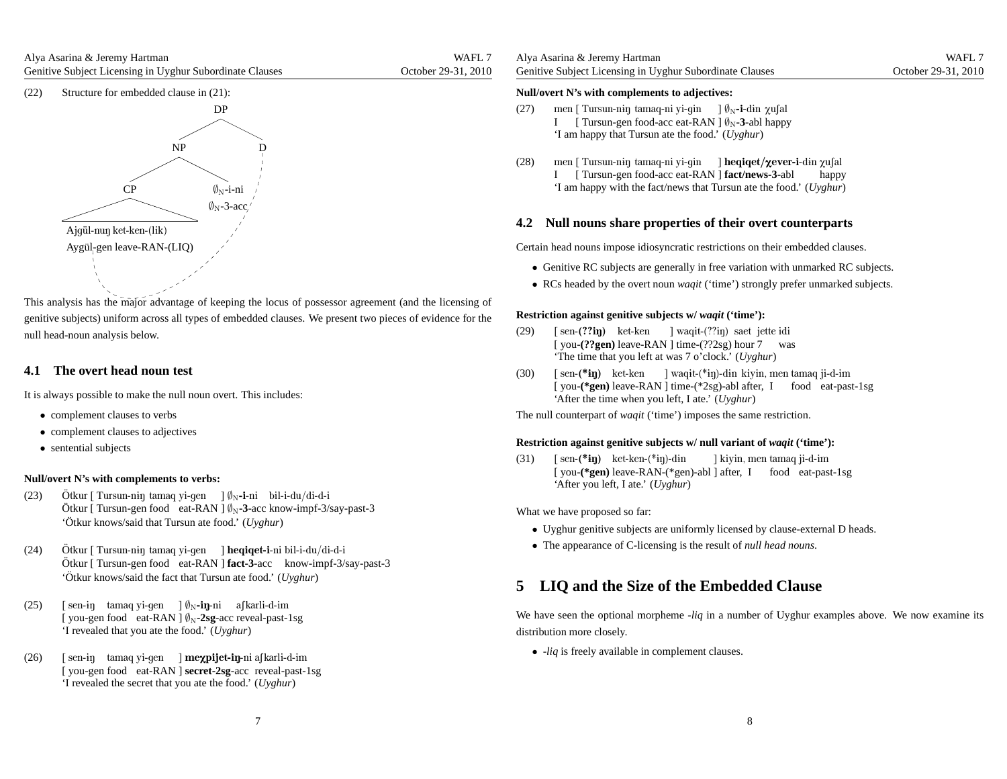(22) Structure for embedded clause in (21):



This analysis has the major advantage of keeping the locus of possessor agreemen<sup>t</sup> (and the licensing of genitive subjects) uniform across all types of embedded clauses. We presen<sup>t</sup> two pieces of evidence for thenull head-noun analysis below.

### **4.1 The overt head noun test**

It is always possible to make the null noun overt. This includes:

- complement clauses to verbs
- complement clauses to adjectives
- sentential subjects

#### **Null/overt N's with complements to verbs:**

- (23)) Ötkur [ Tursun-niŋ tamaq yi-gen ] Ø<sub>N</sub>-i-ni bil-i-du/di-d-i Ötkur [ Tursun-gen food eat-RAN ] Ø<sub>N</sub>-3-acc know-impf-3/say-past-3 'Ötkur knows/said that Tursun ate food.' (Uyghur)
- (24)) Ötkur [ Tursun-niŋ tamaq yi-gen ] **heqiqet-i**-ni bil-i-du/di-d-i Ötkur [ Tursun-gen food eat-RAN ] fact-3-acc know-impf-3/say-past-3 'Ötkur knows/said the fact that Tursun ate food.' (Uyghur)
- (25)) [sen-iŋ tamaqyi-gen ]Ø<sub>N</sub>-**iŋ**-ni a∫karli-d-im [you-gen food eat-RAN ]  $\emptyset_N$ -2sg-acc reveal-past-1sg 'I revealed that you ate the food.' (*Uyghur*)
- (26)) [ sen-iŋ tamaq yi-gen ] **meχpijet-iŋ**-ni aʃkarli-d-im [ you-gen food eat-RAN ] **secret-2sg**-acc reveal-past-1sg'I revealed the secret that you ate the food.' (*Uyghur*)

#### **Null/overt N's with complements to adjectives:**

- (27)) men [ Tursun-nɨŋ tamaq-ni yi-gin ] Ø<sub>N</sub>-**i**-dɨn χu∫al I [ Tursun-gen food-acc eat-RAN ]  $\emptyset_N$ -3-abl happy 'I am happy that Tursun ate the food.' (*Uyghur*)
- (28)) men [ Tursun-niŋ tamaq-ni yi-gin ] **heqiqet/χever-i**-din χu∫al [ Tursun-gen food-acc eat-RAN ]**fact/news-3**-ablI 'I am happy with the fact/news that Tursun ate the food.' (*Uyghur*)happy

### **4.2 Null nouns share properties of their overt counterparts**

Certain head nouns impose idiosyncratic restrictions on their embedded clauses.

- Genitive RC subjects are generally in free variation with unmarked RC subjects.
- RCs headed by the overt noun *waqit* ('time') strongly prefer unmarked subjects.

#### **Restriction against genitive subjects w/** *waqit* **('time'):**

- (29)) [sen-(??iŋ) ket-ken ] waqit-(??iŋ) saet jette idi [you-(??gen) leave-RAN ] time-(??2sg) hour 7 'The time that you left at was 7 <sup>o</sup>'clock.' (*Uyghur*)was
- (30)) [sen-(\***iŋ)** ket-ken ] waqit-(\*iŋ)-din kiyin, men tamaq ji-d-im [you-(\*gen) leave-RAN ] time-(\*2sg)-abl after, I food eat-past-1sg 'After the time when you left, I ate.' (*Uyghur*)

The null counterpart of *waqit* ('time') imposes the same restriction.

### **Restriction against genitive subjects w/ null variant of** *waqit* **('time'):**

(31)) [sen-(\***iŋ)** ket-ken-(\*iŋ)-din [you-(\*gen) leave-RAN-(\*gen)-abl ] after, I food eat-past-1sg 'After you left, I ate.' (*Uyghur*)] kiyin, men tamaq ji-d-im

What we have proposed so far:

- Uyghur genitive subjects are uniformly licensed by clause-external <sup>D</sup> heads.
- The appearance of C-licensing is the result of *null head nouns*.

### **5 LIQ and the Size of the Embedded Clause**

We have seen the optional morpheme -*liq* in <sup>a</sup> number of Uyghur examples above. We now examine its distribution more closely.

• -*liq* is freely available in complement clauses.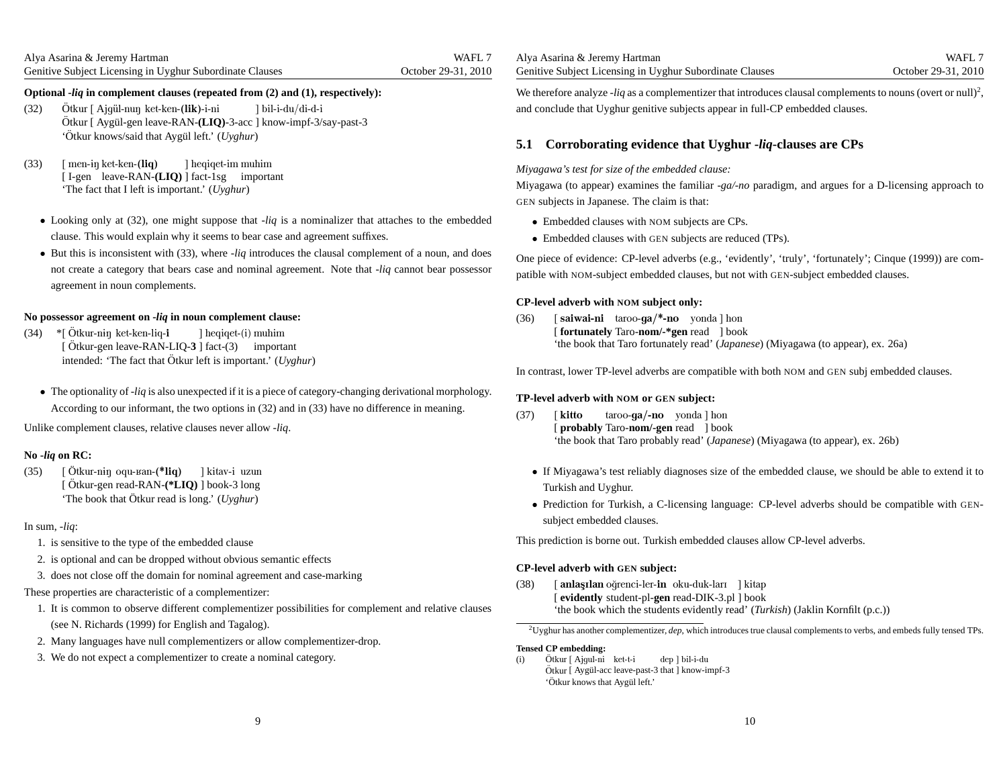### Optional *-liq* in complement clauses (repeated from (2) and (1), respectively):

- (32)Ötkur [ Ajqül-nun ket-ken-(lik)-i-ni Ötkur [ Ajgül-nuŋ ket-ken-**(lik)-**i-ni ] bil-i-du/di-d-i<br>Ötkur [ Aygül-gen leave-RAN-**(LIQ)**-3-acc ] know-impf-3/say-past-3 'Ötkur knows/said that Aygül left.' (Uyghur)
- (33)) [ men-iŋ ket-ken-(**liq**) [ I-gen leave-RAN-**(LIQ)** ] fact-1sg important 'The fact that I left is important.' (*Uyghur*)]heqiqet-immuhim
	- Looking only at (32), one might suppose that -*liq* is <sup>a</sup> nominalizer that attaches to the embedded clause. This would explain why it seems to bear case and agreemen<sup>t</sup> suffixes.
	- But this is inconsistent with (33), where -*liq* introduces the clausal complement of <sup>a</sup> noun, and does not create <sup>a</sup> category that bears case and nominal agreement. Note that -*liq* cannot bear possessor agreemen<sup>t</sup> in noun complements.

### **No possessor agreement on -***liq* **in noun complement clause:**

- $(34)$ [Ötkur-gen leave-RAN-LIQ-3 ] fact-(3) important intended: 'The fact that Ötkur left is important.' (Uyghur) Ötkur-n<del>i</del>ŋ ket-ken-liq-**i** ]heqiqet-(i)muhim
	- The optionality of -*liq* is also unexpected if it is <sup>a</sup> <sup>p</sup>iece of category-changing derivational morphology. According to our informant, the two options in (32) and in (33) have no difference in meaning.

Unlike complement clauses, relative clauses never allow -*liq*.

### **No -***liq* **on RC:**

(35) [ [Ötkur-gen read-RAN-(\*LIQ) ] book-3 long 'The book that Ötkur read is long.' (Uyghur) Ötkur-n<del>i</del>ŋ oqu-ʁan-(**\*liq**) ] kitav-i uzun

#### In sum, -*liq*:

- 1. is sensitive to the type of the embedded clause
- 2. is optional and can be dropped without obvious semantic effects
- 3. does not close off the domain for nominal agreemen<sup>t</sup> and case-marking

#### These properties are characteristic of <sup>a</sup> complementizer:

- 1. It is common to observe different complementizer possibilities for complement and relative clauses(see N. Richards (1999) for English and Tagalog).
- 2. Many languages have null complementizers or allow complementizer-drop.
- 3. We do not expec<sup>t</sup> <sup>a</sup> complementizer to create <sup>a</sup> nominal category.

We therefore analyze *-liq* as a complementizer that introduces clausal complements to nouns (overt or null)<sup>2</sup>, and conclude that Uyghur genitive subjects appear in full-CP embedded clauses.

WAFL<sub>7</sub>

### **5.1 Corroborating evidence that Uyghur -***liq***-clauses are CPs**

#### *Miyagawa's test for size of the embedded clause:*

Miyagawa (to appear) examines the familiar *-ga/-no* paradigm, and argues for <sup>a</sup> D-licensing approac<sup>h</sup> to GEN subjects in Japanese. The claim is that:

- Embedded clauses with NOM subjects are CPs.
- Embedded clauses with GEN subjects are reduced (TPs).

One piece of evidence: CP-level adverbs (e.g., 'evidently', 'truly', 'fortunately'; Cinque (1999)) are compatible with NOM-subject embedded clauses, but not with GEN-subject embedded clauses.

### **CP-level adverb with NOM subject only:**

(36)) [**saiwai-ni** taroo-**ga/\*-no** yonda]hon [ **fortunately** Taro-**nom/-\*gen** read ] book'the book that Taro fortunately read' (*Japanese*) (Miyagawa (to appear), ex. 26a)

In contrast, lower TP-level adverbs are compatible with both NOM and GEN subj embedded clauses.

## **TP-level adverb with NOM or GEN subject:**

- (37) [ kitto[ **probably** Taro-**nom/-gen** read ] book 'the book that Taro probably read' (*Japanese*) (Miyagawa (to appear), ex. 26b)taroo-**ga/-no** yonda ] hon
	- If Miyagawa's test reliably diagnoses size of the embedded clause, we should be able to extend it to Turkish and Uyghur.
	- Prediction for Turkish, <sup>a</sup> C-licensing language: CP-level adverbs should be compatible with GEN subject embedded clauses.

This prediction is borne out. Turkish embedded clauses allow CP-level adverbs.

### **CP-level adverb with GEN subject:**

(38)) [ **anlaşılan** oğrenci-ler-**in** oku-duk-ları ] kitap [ **evidently** student-pl-**gen** read-DIK-3.pl ] book'the book which the students evidently read' (*Turkish*) (Jaklin Kornfilt (p.c.))

<sup>2</sup>Uyghur has another complementizer, *dep*, which introduces true clausal complements to verbs, and embeds fully tensed TPs.

**Tensed CP embedding:**

) Ötkur [ Ajgul-ni ket-t-i (i)Ötkur [ Aygül-acc leave-past-3 that ] know-impf-3 'Ötkur knows that Aygül left.' dep]bil-i-du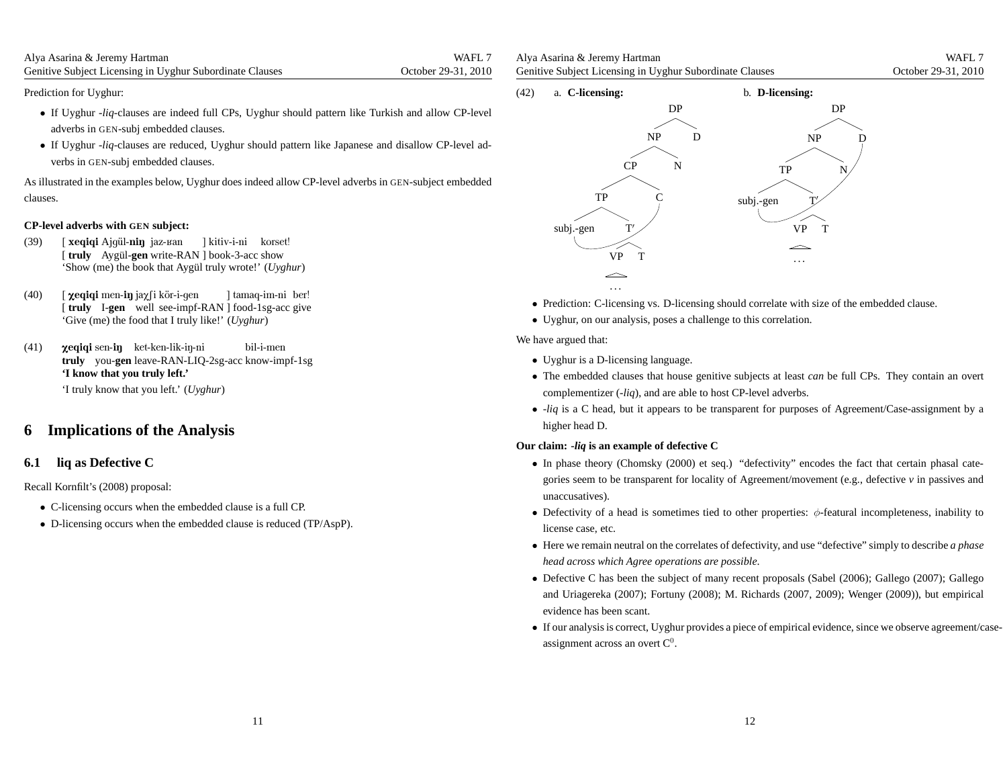| Alya Asarina & Jeremy Hartman                                   | WAFL 7              |
|-----------------------------------------------------------------|---------------------|
| <b>Genitive Subject Licensing in Uyghur Subordinate Clauses</b> | October 29-31, 2010 |

Prediction for Uyghur:

- If Uyghur -*liq*-clauses are indeed full CPs, Uyghur should pattern like Turkish and allow CP-level adverbs in GEN-subj embedded clauses.
- If Uyghur -*liq*-clauses are reduced, Uyghur should pattern like Japanese and disallow CP-level adverbs in GEN-subj embedded clauses.

As illustrated in the examples below, Uyghur does indeed allow CP-level adverbs in GEN-subject embedded clauses.

### **CP-level adverbs with GEN subject:**

- (39) [ [truly Aygül-gen write-RAN ] book-3-acc show 'Show (me) the book that Aygül truly wrote!' (*Uyghur*) **xeqiqi** Ajgül-**niŋ** jaz-ʁan ] kitiv-i-ni korset!
- (40)) [ **χeqiqi** men-**iŋ** jaχ∫i kör-i-gen [truly I-gen well see-impf-RAN ] food-1sg-acc give 'Give (me) the food that I truly like!' (*Uyghur*)] tamaq-im-ni ber!
- (41)) **xeqiqi** sen-**iŋ** ket-ken-lik-iŋ-ni **truly** you-**gen** leave-RAN-LIQ-2sg-acc know-impf-1sg **'I know that you truly left.'**bil-i-men

'I truly know that you left.' (*Uyghur*)

### **6 Implications of the Analysis**

#### **6.1 liq as Defective C**

Recall Kornfilt's (2008) proposal:

- C-licensing occurs when the embedded clause is <sup>a</sup> full CP.
- D-licensing occurs when the embedded clause is reduced (TP/AspP).

| Alya Asarina & Jeremy Hartman                            | WAFL 7              |
|----------------------------------------------------------|---------------------|
| Genitive Subject Licensing in Uyghur Subordinate Clauses | October 29-31, 2010 |



- Prediction: C-licensing vs. D-licensing should correlate with size of the embedded clause.
- Uyghur, on our analysis, poses <sup>a</sup> challenge to this correlation.

We have argued that:

- Uyghur is <sup>a</sup> D-licensing language.
- The embedded clauses that house genitive subjects at least *can* be full CPs. They contain an overt complementizer (-*liq*), and are able to host CP-level adverbs.
- -*liq* is <sup>a</sup> <sup>C</sup> head, but it appears to be transparent for purposes of Agreement/Case-assignment by <sup>a</sup> higher head D.

### **Our claim: -***liq* **is an example of defective <sup>C</sup>**

- In <sup>p</sup>hase theory (Chomsky (2000) et seq.) "defectivity" encodes the fact that certain <sup>p</sup>hasal categories seem to be transparent for locality of Agreement/movement (e.g., defective *<sup>v</sup>* in passives andunaccusatives).
- Defectivity of a head is sometimes tied to other properties:  $\phi$ -featural incompleteness, inability to license case, etc.
- Here we remain neutral on the correlates of defectivity, and use "defective" simply to describe *<sup>a</sup> <sup>p</sup>hase head across which Agree operations are possible*.
- Defective <sup>C</sup> has been the subject of many recent proposals (Sabel (2006); Gallego (2007); Gallego and Uriagereka (2007); Fortuny (2008); M. Richards (2007, 2009); Wenger (2009)), but empiricalevidence has been scant.
- If our analysis is correct, Uyghur provides <sup>a</sup> <sup>p</sup>iece of empirical evidence, since we observe agreement/caseassignment across an overt  $C^0$ .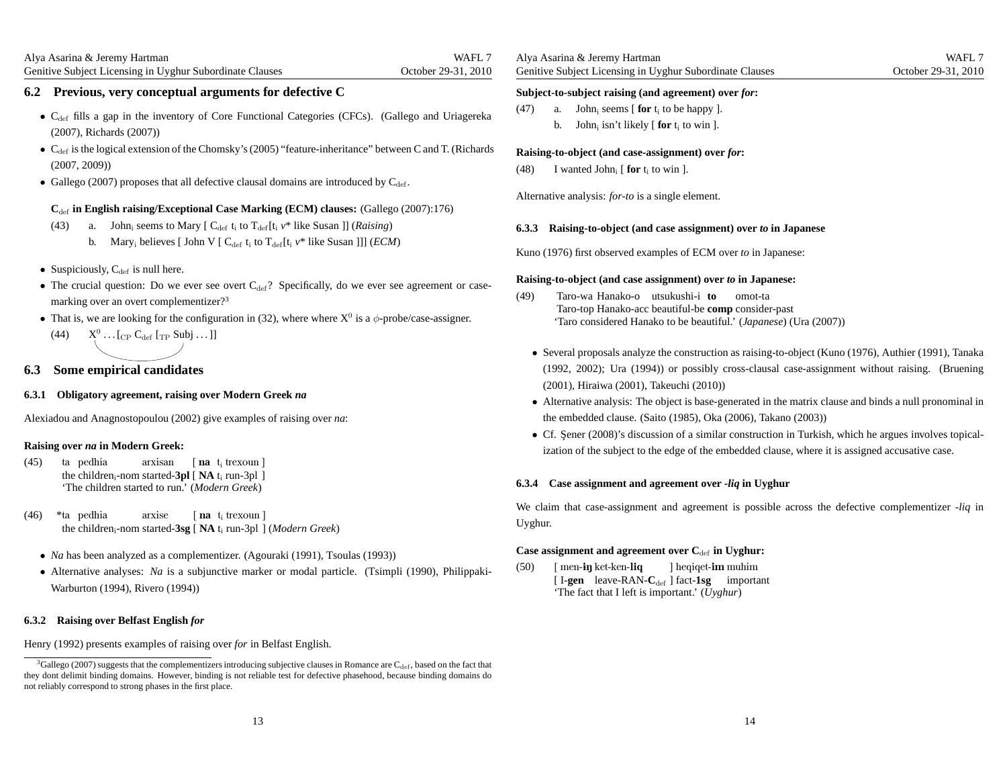### **6.2 Previous, very conceptual arguments for defective C**

- $C_{\text{def}}$  fills a gap in the inventory of Core Functional Categories (CFCs). (Gallego and Uriagereka (2007), Richards (2007))
- $C_{\text{def}}$  is the logical extension of the Chomsky's (2005) "feature-inheritance" between C and T. (Richards (2007, 2009))
- Gallego (2007) proposes that all defective clausal domains are introduced by  $C_{\text{def}}$ .

### **C**def **in English raising/Exceptional Case Marking (ECM) clauses:** (Gallego (2007):176)

- (43) a. John<sub>i</sub> seems to Mary  $[C_{\text{def}} t_i]$  to  $T_{\text{def}}[t_i]$  *v*\* like Susan ]] (*Raising*)
	- b. Mary<sub>i</sub> believes [ John V [  $C_{\text{def}}$  t<sub>i</sub> to T<sub>def</sub>[t<sub>i</sub>  $v^*$  like Susan ]]] (*ECM*)
- Suspiciously,  $C_{\text{def}}$  is null here.
- The crucial question: Do we ever see overt  $C_{def}$ ? Specifically, do we ever see agreement or casemarking over an overt complementizer?<sup>3</sup>
- That is, we are looking for the configuration in (32), where where  $X^0$  is a  $\phi$ -probe/case-assigner.
	- (44)  $X^0_1 \dots [C_P C_{\text{def}} [T_P \text{ Subj} \dots]]$

### **6.3 Some empirical candidates**

### **6.3.1 Obligatory agreement, raising over Modern Greek** *na*

Alexiadou and Anagnostopoulou (2002) give examples of raising over *na*:

### **Raising over** *na* **in Modern Greek:**

- $(45)$ ) ta pedhia the children<sub>i</sub>-nom started-3pl [NA t<sub>i</sub> run-3pl ] 'The children started to run.' (*Modern Greek*)arxisan $[$ nat<sub>i</sub>trexoun]
- $(46)$ the children<sub>i</sub>-nom started-3sg [NA t<sub>i</sub> run-3pl ] (*Modern Greek*) pedhiaarxise $\lceil$  **na**  $t_i$  trexoun  $\rceil$ 
	- *Na* has been analyzed as <sup>a</sup> complementizer. (Agouraki (1991), Tsoulas (1993))
	- Alternative analyses: *Na* is <sup>a</sup> subjunctive marker or modal particle. (Tsimpli (1990), Philippaki-Warburton (1994), Rivero (1994))

### **6.3.2 Raising over Belfast English** *for*

Henry (1992) presents examples of raising over *for* in Belfast English.

| Alya Asarina & Jeremy Hartman                            |  |
|----------------------------------------------------------|--|
| Genitive Subject Licensing in Uyghur Subordinate Clauses |  |

## **Subject-to-subject raising (and agreement) over** *for***:**

- $(47)$  a. John<sub>i</sub> seems [**for** t<sub>i</sub> to be happy ].
	- b. John<sub>i</sub> isn't likely  $[$  **for**  $t_i$  to win  $]$ .

### **Raising-to-object (and case-assignment) over** *for***:**

(48) I wanted John<sub>i</sub> [ **for**  $t_i$  to win ].

Alternative analysis: *for-to* is <sup>a</sup> single element.

### **6.3.3 Raising-to-object (and case assignment) over** *to* **in Japanese**

Kuno (1976) first observed examples of ECM over *to* in Japanese:

### **Raising-to-object (and case assignment) over** *to* **in Japanese:**

- (49) Taro-waHanako-outsukushi-i**to** Taro-top Hanako-acc beautiful-be **comp** consider-past 'Taro considered Hanako to be beautiful.' (*Japanese*) (Ura (2007))omot-ta
	- Several proposals analyze the construction as raising-to-object (Kuno (1976), Authier (1991), Tanaka (1992, 2002); Ura (1994)) or possibly cross-clausal case-assignment without raising. (Bruening(2001), Hiraiwa (2001), Takeuchi (2010))
	- Alternative analysis: The object is base-generated in the matrix clause and binds <sup>a</sup> null pronominal in the embedded clause. (Saito (1985), Oka (2006), Takano (2003))
	- Cf. Şener (2008)'s discussion of a similar construction in Turkish, which he argues involves topicalization of the subject to the edge of the embedded clause, where it is assigned accusative case.

### **6.3.4 Case assignment and agreement over -***liq* **in Uyghur**

We claim that case-assignment and agreemen<sup>t</sup> is possible across the defective complementizer -*liq* in Uyghur.

### **Case assignment and agreement over C**def **in Uyghur:**

(50)) [men-**iŋ** ket-ken-li**q** [I-gen leave-RAN-C<sub>def</sub>] fact-1sg important 'The fact that I left is important.' (*Uyghur*)] heqiqet**-im** muhim

 $3$ Gallego (2007) suggests that the complementizers introducing subjective clauses in Romance are C<sub>def</sub>, based on the fact that they dont delimit binding domains. However, binding is not reliable test for defective phasehood, because binding domains donot reliably correspond to strong phases in the first place.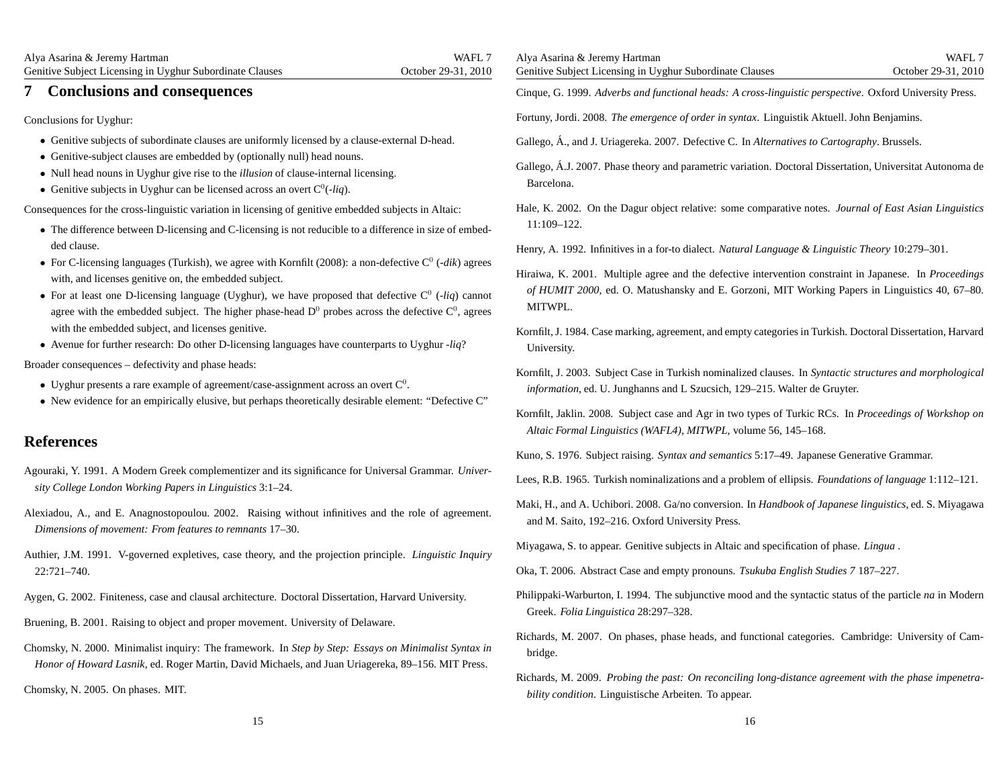Alya Asarina & Jeremy Hartman Genitive Subject Licensing in Uyghur Subordinate ClausesWAFL<sub>7</sub> October 29-31, 2010**7 Conclusions and consequences**Conclusions for Uyghur:• Genitive subjects of subordinate clauses are uniformly licensed by <sup>a</sup> clause-external D-head. • Genitive-subject clauses are embedded by (optionally null) head nouns. • Null head nouns in Uyghur <sup>g</sup>ive rise to the *illusion* of clause-internal licensing. • Genitive subjects in Uyghur can be licensed across an overt  $C^0(-liq)$ . Consequences for the cross-linguistic variation in licensing of genitive embedded subjects in Altaic:• The difference between D-licensing and C-licensing is not reducible to <sup>a</sup> difference in size of embedded clause. • For C-licensing languages (Turkish), we agree with Kornfilt (2008): a non-defective  $C^0$  (-*dik*) agrees with, and licenses genitive on, the embedded subject. • For at least one D-licensing language (Uyghur), we have proposed that defective  $C^0$  (-*liq*) cannot agree with the embedded subject. The higher phase-head  $D^0$  probes across the defective  $C^0$ , agrees with the embedded subject, and licenses genitive. • Avenue for further research: Do other D-licensing languages have counterparts to Uyghur -*liq*? Broader consequences – defectivity and phase heads:• Uyghur presents a rare example of agreement/case-assignment across an overt  $C^0$ . • New evidence for an empirically elusive, but perhaps theoretically desirable element: "Defective C" **References**Agouraki, Y. 1991. A Modern Greek complementizer and its significance for Universal Grammar. *University College London Working Papers in Linguistics* 3:1–24. Alexiadou, A., and E. Anagnostopoulou. 2002. Raising without infinitives and the role of agreement. *Dimensions of movement: From features to remnants* 17–30. Authier, J.M. 1991. V-governed expletives, case theory, and the projection principle. *Linguistic Inquiry*22:721–740.Aygen, G. 2002. Finiteness, case and clausal architecture. Doctoral Dissertation, Harvard University. Bruening, B. 2001. Raising to object and proper movement. University of Delaware. Chomsky, N. 2000. Minimalist inquiry: The framework. In *Step by Step: Essays on Minimalist Syntax in Honor of Howard Lasnik*, ed. Roger Martin, David Michaels, and Juan Uriagereka, 89–156. MIT Press. Chomsky, N. 2005. On phases. MIT. Alya Asarina & Jeremy Hartman Genitive Subject Licensing in Uyghur Subordinate ClausesWAFL<sub>7</sub> October 29-31, 2010Cinque, G. 1999. *Adverbs and functional heads: A cross-linguistic perspective*. Oxford University Press. Fortuny, Jordi. 2008. *The emergence of order in syntax*. Linguistik Aktuell. John Benjamins. Gallego, Á., and J. Uriagereka. 2007. Defective C. In *Alternatives to Cartography*. Brussels. Gallego, Á.J. 2007. Phase theory and parametric variation. Doctoral Dissertation, Universitat Autonoma de Barcelona.Hale, K. 2002. On the Dagur object relative: some comparative notes. *Journal of East Asian Linguistics*11:109–122.Henry, A. 1992. Infinitives in <sup>a</sup> for-to dialect. *Natural Language & Linguistic Theory* 10:279–301. Hiraiwa, K. 2001. Multiple agree and the defective intervention constraint in Japanese. In *Proceedings of HUMIT 2000*, ed. O. Matushansky and E. Gorzoni, MIT Working Papers in Linguistics 40, 67–80. MITWPL.Kornfilt, J. 1984. Case marking, agreement, and empty categories in Turkish. Doctoral Dissertation, HarvardUniversity.Kornfilt, J. 2003. Subject Case in Turkish nominalized clauses. In *Syntactic structures and morphological information*, ed. U. Junghanns and L Szucsich, 129–215. Walter de Gruyter. Kornfilt, Jaklin. 2008. Subject case and Agr in two types of Turkic RCs. In *Proceedings of Workshop on Altaic Formal Linguistics (WAFL4), MITWPL*, volume 56, 145–168. Kuno, S. 1976. Subject raising. *Syntax and semantics* 5:17–49. Japanese Generative Grammar. Lees, R.B. 1965. Turkish nominalizations and <sup>a</sup> problem of ellipsis. *Foundations of language* 1:112–121. Maki, H., and A. Uchibori. 2008. Ga/no conversion. In *Handbook of Japanese linguistics*, ed. S. Miyagawa and M. Saito, 192–216. Oxford University Press. Miyagawa, S. to appear. Genitive subjects in Altaic and specification of phase. *Lingua* . Oka, T. 2006. Abstract Case and empty pronouns. *Tsukuba English Studies 7* 187–227. Philippaki-Warburton, I. 1994. The subjunctive mood and the syntactic status of the particle *na* in Modern Greek. *Folia Linguistica* 28:297–328. Richards, M. 2007. On phases, phase heads, and functional categories. Cambridge: University of Cambridge.Richards, M. 2009. Probing the past: On reconciling long-distance agreement with the phase impenetra*bility condition*. Linguistische Arbeiten. To appear.